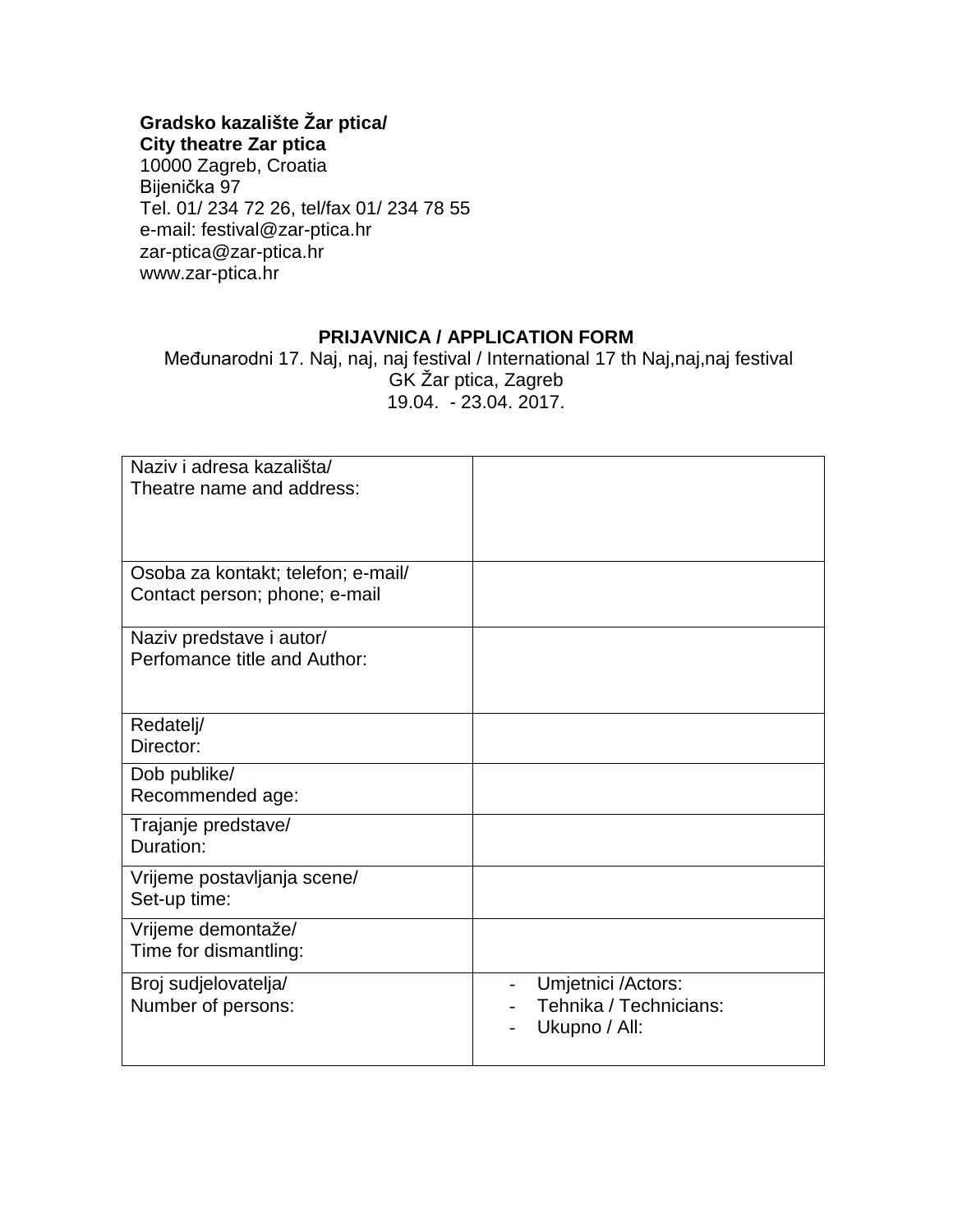## **Gradsko kazalište Žar ptica/**

**City theatre Zar ptica** 10000 Zagreb, Croatia Bijenička 97 Tel. 01/ 234 72 26, tel/fax 01/ 234 78 55 e-mail: festival@zar-ptica.hr zar-ptica@zar-ptica.hr www.zar-ptica.hr

## **PRIJAVNICA / APPLICATION FORM**

Međunarodni 17. Naj, naj, naj festival / International 17 th Naj,naj,naj festival GK Žar ptica, Zagreb 19.04. - 23.04. 2017.

| Naziv i adresa kazališta/<br>Theatre name and address:              |                                                               |
|---------------------------------------------------------------------|---------------------------------------------------------------|
| Osoba za kontakt; telefon; e-mail/<br>Contact person; phone; e-mail |                                                               |
| Naziv predstave i autor/<br>Perfomance title and Author:            |                                                               |
| Redatelj/<br>Director:                                              |                                                               |
| Dob publike/<br>Recommended age:                                    |                                                               |
| Trajanje predstave/<br>Duration:                                    |                                                               |
| Vrijeme postavljanja scene/<br>Set-up time:                         |                                                               |
| Vrijeme demontaže/<br>Time for dismantling:                         |                                                               |
| Broj sudjelovatelja/<br>Number of persons:                          | Umjetnici /Actors:<br>Tehnika / Technicians:<br>Ukupno / All: |